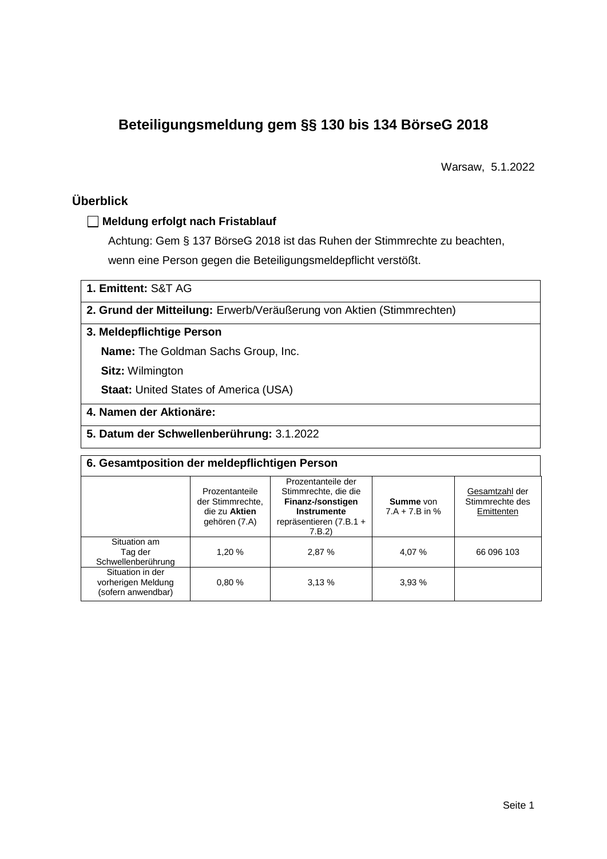# **Beteiligungsmeldung gem §§ 130 bis 134 BörseG 2018**

Warsaw, 5.1.2022

# **Überblick**

## **Meldung erfolgt nach Fristablauf**

Achtung: Gem § 137 BörseG 2018 ist das Ruhen der Stimmrechte zu beachten, wenn eine Person gegen die Beteiligungsmeldepflicht verstößt.

**1. Emittent:** S&T AG

**2. Grund der Mitteilung:** Erwerb/Veräußerung von Aktien (Stimmrechten)

## **3. Meldepflichtige Person**

**Name:** The Goldman Sachs Group, Inc.

**Sitz:** Wilmington

**Staat: United States of America (USA)** 

- **4. Namen der Aktionäre:**
- **5. Datum der Schwellenberührung:** 3.1.2022

| 6. Gesamtposition der meldepflichtigen Person                |                                                                      |                                                                                                                      |                               |                                                 |  |  |  |
|--------------------------------------------------------------|----------------------------------------------------------------------|----------------------------------------------------------------------------------------------------------------------|-------------------------------|-------------------------------------------------|--|--|--|
|                                                              | Prozentanteile<br>der Stimmrechte.<br>die zu Aktien<br>gehören (7.A) | Prozentanteile der<br>Stimmrechte, die die<br>Finanz-/sonstigen<br>Instrumente<br>repräsentieren $(7.B.1 +$<br>7.B.2 | Summe von<br>$7.A + 7.B$ in % | Gesamtzahl der<br>Stimmrechte des<br>Emittenten |  |  |  |
| Situation am<br>Tag der<br>Schwellenberührung                | 1,20 %                                                               | 2.87 %                                                                                                               | 4,07 %                        | 66 096 103                                      |  |  |  |
| Situation in der<br>vorherigen Meldung<br>(sofern anwendbar) | 0.80%                                                                | 3.13%                                                                                                                | 3.93%                         |                                                 |  |  |  |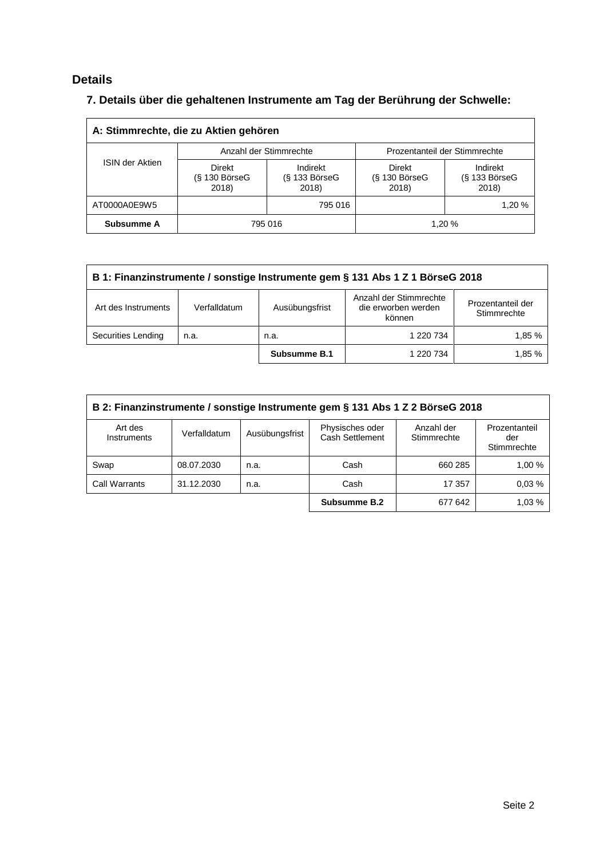# **Details**

# **7. Details über die gehaltenen Instrumente am Tag der Berührung der Schwelle:**

| A: Stimmrechte, die zu Aktien gehören |                                           |                                      |                                    |                                    |  |  |
|---------------------------------------|-------------------------------------------|--------------------------------------|------------------------------------|------------------------------------|--|--|
|                                       |                                           | Anzahl der Stimmrechte               | Prozentanteil der Stimmrechte      |                                    |  |  |
| <b>ISIN der Aktien</b>                | <b>Direkt</b><br>$(S$ 130 BörseG<br>2018) | Indirekt<br>$(S$ 133 BörseG<br>2018) | Direkt<br>$(S$ 130 BörseG<br>2018) | Indirekt<br>(§ 133 BörseG<br>2018) |  |  |
| AT0000A0E9W5                          | 795 016                                   |                                      |                                    | 1,20 %                             |  |  |
| Subsumme A                            | 795 016                                   |                                      | 1,20 %                             |                                    |  |  |

| B 1: Finanzinstrumente / sonstige Instrumente gem § 131 Abs 1 Z 1 BörseG 2018 |              |                |                                                         |                                  |  |  |
|-------------------------------------------------------------------------------|--------------|----------------|---------------------------------------------------------|----------------------------------|--|--|
| Art des Instruments                                                           | Verfalldatum | Ausübungsfrist | Anzahl der Stimmrechte<br>die erworben werden<br>können | Prozentanteil der<br>Stimmrechte |  |  |
| Securities Lending                                                            | n.a.         | n.a.           | 1 220 734                                               | 1.85 %                           |  |  |
|                                                                               |              | Subsumme B.1   | 1 220 734                                               | 1.85 %                           |  |  |

| B 2: Finanzinstrumente / sonstige Instrumente gem § 131 Abs 1 Z 2 BörseG 2018 |              |                |                                    |                           |                                     |  |
|-------------------------------------------------------------------------------|--------------|----------------|------------------------------------|---------------------------|-------------------------------------|--|
| Art des<br>Instruments                                                        | Verfalldatum | Ausübungsfrist | Physisches oder<br>Cash Settlement | Anzahl der<br>Stimmrechte | Prozentanteil<br>der<br>Stimmrechte |  |
| Swap                                                                          | 08.07.2030   | n.a.           | Cash                               | 660 285                   | 1.00 %                              |  |
| <b>Call Warrants</b>                                                          | 31.12.2030   | n.a.           | Cash                               | 17 357                    | 0.03%                               |  |
|                                                                               |              |                | Subsumme B.2                       | 677 642                   | 1,03 %                              |  |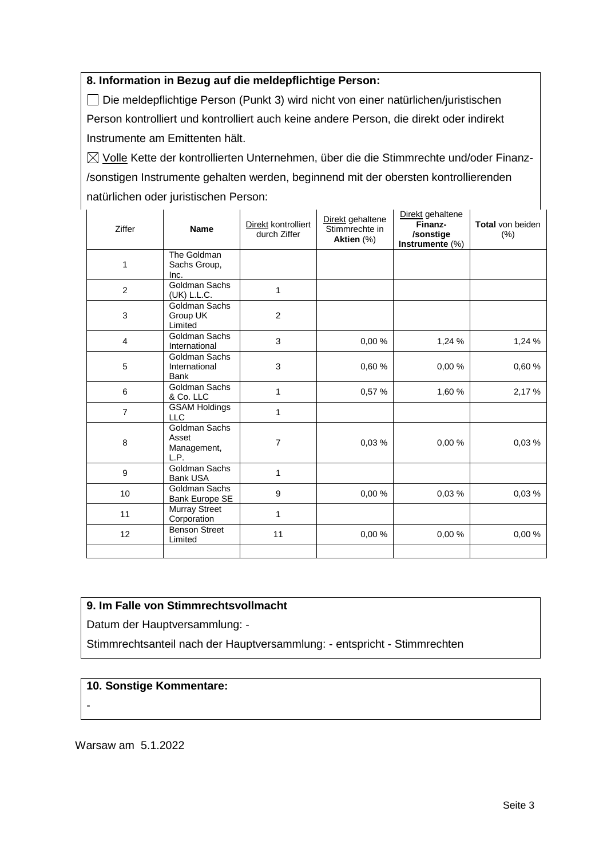### **8. Information in Bezug auf die meldepflichtige Person:**

Die meldepflichtige Person (Punkt 3) wird nicht von einer natürlichen/juristischen Person kontrolliert und kontrolliert auch keine andere Person, die direkt oder indirekt Instrumente am Emittenten hält.

 $\boxtimes$  Volle Kette der kontrollierten Unternehmen, über die die Stimmrechte und/oder Finanz-/sonstigen Instrumente gehalten werden, beginnend mit der obersten kontrollierenden natürlichen oder juristischen Person:

| Ziffer         | <b>Name</b>                                   | Direkt kontrolliert<br>durch Ziffer | Direkt gehaltene<br>Stimmrechte in<br>Aktien (%) | Direkt gehaltene<br>Finanz-<br>/sonstige<br>Instrumente (%) | Total von beiden<br>(% ) |
|----------------|-----------------------------------------------|-------------------------------------|--------------------------------------------------|-------------------------------------------------------------|--------------------------|
| 1              | The Goldman<br>Sachs Group,<br>Inc.           |                                     |                                                  |                                                             |                          |
| 2              | Goldman Sachs<br>(UK) L.L.C.                  | $\mathbf 1$                         |                                                  |                                                             |                          |
| 3              | Goldman Sachs<br>Group UK<br>Limited          | $\overline{2}$                      |                                                  |                                                             |                          |
| $\overline{4}$ | Goldman Sachs<br>International                | 3                                   | 0,00%                                            | 1,24 %                                                      | 1,24 %                   |
| 5              | Goldman Sachs<br>International<br><b>Bank</b> | 3                                   | 0,60%                                            | 0.00%                                                       | 0,60%                    |
| 6              | Goldman Sachs<br>& Co. LLC                    | 1                                   | 0,57 %                                           | 1,60 %                                                      | 2,17 %                   |
| $\overline{7}$ | <b>GSAM Holdings</b><br><b>LLC</b>            | 1                                   |                                                  |                                                             |                          |
| 8              | Goldman Sachs<br>Asset<br>Management,<br>L.P. | 7                                   | 0,03%                                            | 0,00%                                                       | 0,03%                    |
| 9              | Goldman Sachs<br><b>Bank USA</b>              | $\mathbf{1}$                        |                                                  |                                                             |                          |
| 10             | Goldman Sachs<br>Bank Europe SE               | 9                                   | 0.00%                                            | 0.03%                                                       | 0.03%                    |
| 11             | <b>Murray Street</b><br>Corporation           | 1                                   |                                                  |                                                             |                          |
| 12             | <b>Benson Street</b><br>Limited               | 11                                  | 0,00 %                                           | 0,00%                                                       | 0,00%                    |
|                |                                               |                                     |                                                  |                                                             |                          |

#### **9. Im Falle von Stimmrechtsvollmacht**

Datum der Hauptversammlung: -

Stimmrechtsanteil nach der Hauptversammlung: - entspricht - Stimmrechten

#### **10. Sonstige Kommentare:**

-

Warsaw am 5.1.2022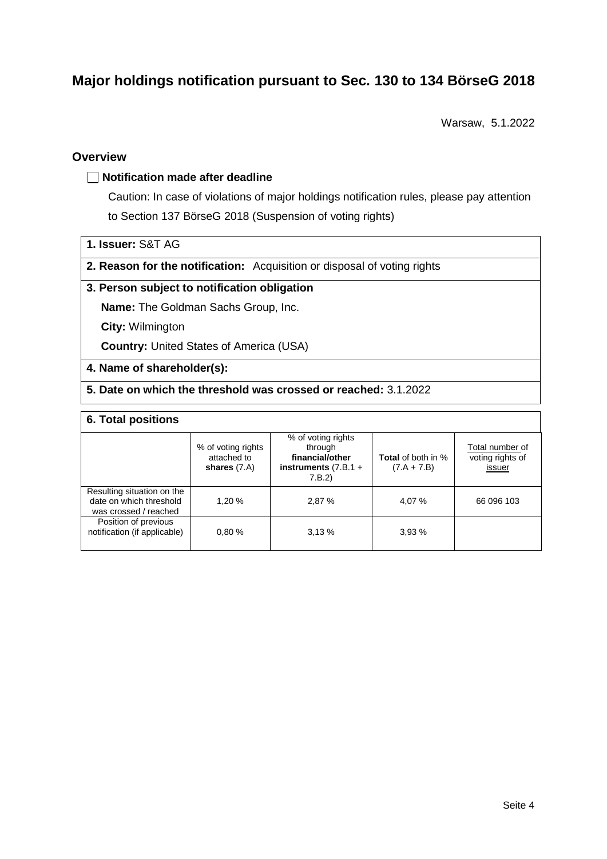# **Major holdings notification pursuant to Sec. 130 to 134 BörseG 2018**

Warsaw, 5.1.2022

## **Overview**

#### **Notification made after deadline**

Caution: In case of violations of major holdings notification rules, please pay attention to Section 137 BörseG 2018 (Suspension of voting rights)

|  |  | 1. Issuer: S&T AG |  |  |
|--|--|-------------------|--|--|
|--|--|-------------------|--|--|

**2. Reason for the notification:** Acquisition or disposal of voting rights

#### **3. Person subject to notification obligation**

**Name:** The Goldman Sachs Group, Inc.

**City:** Wilmington

**Country:** United States of America (USA)

#### **4. Name of shareholder(s):**

### **5. Date on which the threshold was crossed or reached:** 3.1.2022

#### **6. Total positions**

|                                                                                | % of voting rights<br>attached to<br>shares $(7.A)$ | % of voting rights<br>through<br>financial/other<br>instruments $(7.B.1 +$<br>7.B.2 | <b>Total</b> of both in %<br>$(7.A + 7.B)$ | Total number of<br>voting rights of<br>issuer |
|--------------------------------------------------------------------------------|-----------------------------------------------------|-------------------------------------------------------------------------------------|--------------------------------------------|-----------------------------------------------|
| Resulting situation on the<br>date on which threshold<br>was crossed / reached | 1.20 %                                              | 2,87 %                                                                              | 4.07 %                                     | 66 096 103                                    |
| Position of previous<br>notification (if applicable)                           | 0.80%                                               | 3.13%                                                                               | 3.93%                                      |                                               |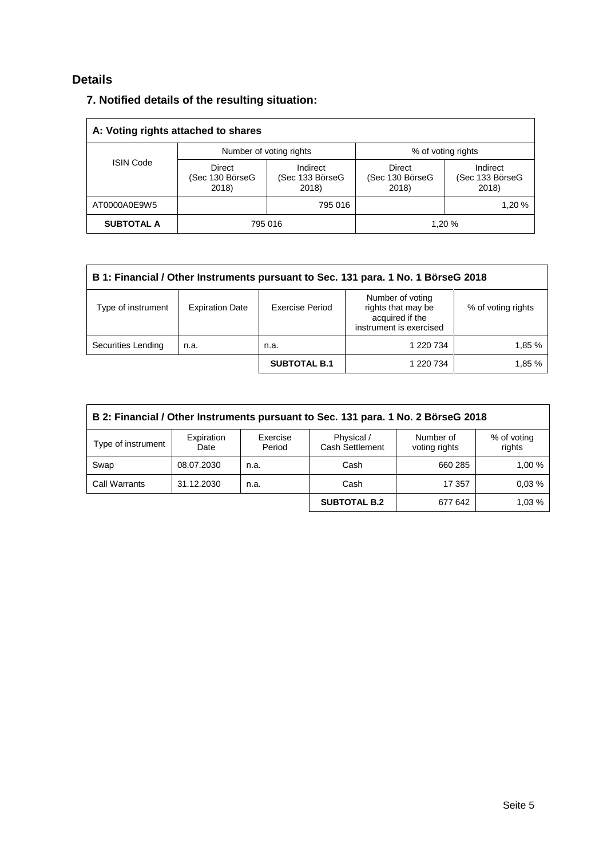# **Details**

| 7. Notified details of the resulting situation: |
|-------------------------------------------------|
|-------------------------------------------------|

| A: Voting rights attached to shares |                                    |                                      |                                    |                                      |  |  |
|-------------------------------------|------------------------------------|--------------------------------------|------------------------------------|--------------------------------------|--|--|
|                                     |                                    | Number of voting rights              | % of voting rights                 |                                      |  |  |
| <b>ISIN Code</b>                    | Direct<br>(Sec 130 BörseG<br>2018) | Indirect<br>(Sec 133 BörseG<br>2018) | Direct<br>(Sec 130 BörseG<br>2018) | Indirect<br>(Sec 133 BörseG<br>2018) |  |  |
| AT0000A0E9W5                        |                                    | 795 016                              |                                    | 1,20 %                               |  |  |
| <b>SUBTOTAL A</b>                   | 795 016                            |                                      | 1.20 %                             |                                      |  |  |

| B 1: Financial / Other Instruments pursuant to Sec. 131 para. 1 No. 1 BörseG 2018 |                        |                        |                                                                                      |                    |  |
|-----------------------------------------------------------------------------------|------------------------|------------------------|--------------------------------------------------------------------------------------|--------------------|--|
| Type of instrument                                                                | <b>Expiration Date</b> | <b>Exercise Period</b> | Number of voting<br>rights that may be<br>acquired if the<br>instrument is exercised | % of voting rights |  |
| Securities Lending                                                                | n.a.                   | n.a.                   | 1 220 734                                                                            | 1,85 %             |  |
|                                                                                   |                        | <b>SUBTOTAL B.1</b>    | 1 220 734                                                                            | 1.85 %             |  |

| B 2: Financial / Other Instruments pursuant to Sec. 131 para. 1 No. 2 BörseG 2018                                                                             |            |      |                     |         |        |  |
|---------------------------------------------------------------------------------------------------------------------------------------------------------------|------------|------|---------------------|---------|--------|--|
| Physical /<br>Number of<br>Expiration<br>Exercise<br>% of voting<br>Type of instrument<br><b>Cash Settlement</b><br>Period<br>rights<br>voting rights<br>Date |            |      |                     |         |        |  |
| Swap                                                                                                                                                          | 08.07.2030 | n.a. | Cash                | 660 285 | 1,00 % |  |
| <b>Call Warrants</b>                                                                                                                                          | 31.12.2030 | n.a. | Cash                | 17 357  | 0.03%  |  |
|                                                                                                                                                               |            |      | <b>SUBTOTAL B.2</b> | 677 642 | 1.03%  |  |